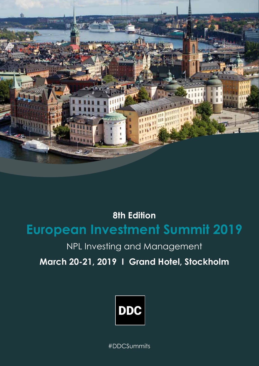

**8th Edition European Investment Summit 2019**

## NPL Investing and Management

**March 20-21, 2019 I Grand Hotel, Stockholm**



#DDCSummits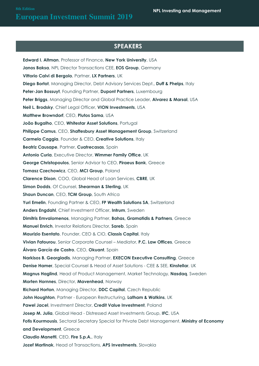### **SPONSORS SPEAKERS**

**Edward I. Altman**, Professor of Finance, **New York University**, USA **Janos Baksa**, NPL Director Transactions CEE, **EOS Group**, Germany **Vittorio Calvi di Bergolo**, Partner, **LX Partners**, UK **Diego Bortot**, Managing Director, Debt Advisory Services Dept., **Duff & Phelps**, Italy **Peter-Jan Bossuyt**, Founding Partner, **Dupont Partners**, Luxembourg **Peter Briggs**, Managing Director and Global Practice Leader, **Alvarez & Marsal**, USA **Neil L. Brodsky**, Chief Legal Officer, **VION Investments**, USA **Matthew Browndorf**, CEO, **Plutos Sama**, USA **João Bugalho**, CEO, **Whitestar Asset Solutions**, Portugal Philippe Camus, CEO, Shaftesbury Asset Management Group, Switzerland **Carmelo Caggia**, Founder & CEO, **Creative Solutions**, Italy **Beatriz Causape**, Partner, **Cuatrecasas**, Spain **Antonio Curia**, Executive Director, **Wimmer Family Office**, UK **George Christopoulos**, Senior Advisor to CEO, **Piraeus Bank**, Greece **Tomasz Czechowicz**, CEO, **MCI Group**, Poland **Clarence Dixon**, COO, Global Head of Loan Services, **CBRE**, UK **Simon Dodds**, Of Counsel, **Shearman & Sterling**, UK **Shaun Duncan**, CEO, **TCM Group**, South Africa **Yuri Emelin**, Founding Partner & CEO, **FP Wealth Solutions SA**, Switzerland **Anders Engdahl**, Chief Investment Officer, **Intrum**, Sweden **Dimitris Emvalomenos**, Managing Partner, **Bahas, Gramatidis & Partners**, Greece **Manuel Enrich**, Investor Relations Director, **Sareb**, Spain **Maurizio Esentato**, Founder, CEO & CIO, Classis Capital, Italy **Vivian Fatourou**, Senior Corporate Counsel – Mediator, **P.C. Law Offices**, Greece **Álvaro García de Castro**, CEO, **Okuant**, Spain **Narkisos B. Georgiadis**, Managing Partner, **EXECON Executive Consulting**, Greece **Denise Hamer**, Special Counsel & Head of Asset Solutions - CEE & SEE, **Kinstellar**, UK **Magnus Haglind**, Head of Product Management, Market Technology, **Nasdaq**, Sweden **Morten Hornnes**, Director, **Mavenhead**, Norway **Richard Horton**, Managing Director, **DDC Capital**, Czech Republic **John Houghton**, Partner - European Restructuring, **Latham & Watkins**, UK **Pawel Jacel**, Investment Director, **Credit Value Investment**, Poland **Josep M. Julia**, Global Head - Distressed Asset Investments Group, **IFC**, USA **Fotis Kourmousis**, Sectoral Secretary Special for Private Debt Management, **Ministry of Economy and Development**, Greece **Claudio Manetti**, CEO, **Fire S.p.A.**, Italy **Jozef Martinak**, Head of Transactions, **APS Investments**, Slovakia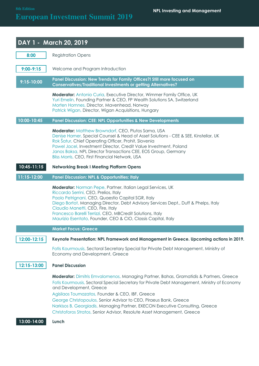# **European Investment Summit 2019 European Investment Summit 2019**

|                | DAY 1 - March 20, 2019                                                                                                                                                                                                                                                                                                                                                                                                                                                                                                   |
|----------------|--------------------------------------------------------------------------------------------------------------------------------------------------------------------------------------------------------------------------------------------------------------------------------------------------------------------------------------------------------------------------------------------------------------------------------------------------------------------------------------------------------------------------|
| 8:00           | <b>Registration Opens</b>                                                                                                                                                                                                                                                                                                                                                                                                                                                                                                |
| $9:00 - 9:15$  | Welcome and Program Introduction                                                                                                                                                                                                                                                                                                                                                                                                                                                                                         |
| $9:15 - 10:00$ | Panel Discussion: New Trends for Family Offices?! Still more focused on<br><b>Conservatives/Traditional Investments or getting Alternatives?</b>                                                                                                                                                                                                                                                                                                                                                                         |
|                | <b>Moderator:</b> Antonio Curia, Executive Director, Wimmer Family Office, UK<br>Yuri Emelin, Founding Partner & CEO, FP Wealth Solutions SA, Switzerland<br>Morten Hornnes, Director, Mavenhead, Norway<br>Patrick Wigan, Director, Wigan Acquisitions, Hungary                                                                                                                                                                                                                                                         |
| 10:00-10:45    | Panel Discussion: CEE: NPL Opportunities & New Developments                                                                                                                                                                                                                                                                                                                                                                                                                                                              |
|                | <b>Moderator:</b> Matthew Browndorf, CEO, Plutos Sama, USA<br>Denise Hamer, Special Counsel & Head of Asset Solutions - CEE & SEE, Kinstellar, UK<br>Rok Šatur, Chief Operating Officer, Prohit, Slovenia<br>Pawel Jacel, Investment Director, Credit Value Investment, Poland<br>Janos Baksa, NPL Director Transactions CEE, EOS Group, Germany<br>Bliss Morris, CEO, First Financial Network, USA                                                                                                                      |
| $10:45-11:15$  | <b>Networking Break I Meeting Platform Opens</b>                                                                                                                                                                                                                                                                                                                                                                                                                                                                         |
| 11:15-12:00    | <b>Panel Discussion: NPL &amp; Opportunities: Italy</b>                                                                                                                                                                                                                                                                                                                                                                                                                                                                  |
|                | Moderator: Norman Pepe, Partner, Italian Legal Services, UK<br>Riccardo Serrini, CEO, Prelios, Italy<br>Paolo Petrignani, CEO, Quaestio Capital SGR, Italy<br>Diego Bortot, Managing Director, Debt Advisory Services Dept., Duff & Phelps, Italy<br>Claudio Manetti, CEO, Fire, Italy<br>Francesco Barelli Terrizzi, CEO, MBCredit Solutions, Italy<br>Maurizio Esentato, Founder, CEO & CIO, Classis Capital, Italy                                                                                                    |
|                | <b>Market Focus: Greece</b>                                                                                                                                                                                                                                                                                                                                                                                                                                                                                              |
| 12:00-12:15    | Keynote Presentation: NPL Framework and Management in Greece. Upcoming actions in 2019.                                                                                                                                                                                                                                                                                                                                                                                                                                  |
|                | Fotis Kourmousis, Sectoral Secretary Special for Private Debt Management, Ministry of<br>Economy and Development, Greece                                                                                                                                                                                                                                                                                                                                                                                                 |
| 12:15-13:00    | <b>Panel Discussion</b>                                                                                                                                                                                                                                                                                                                                                                                                                                                                                                  |
| 13:00-14:00    | <b>Moderator:</b> Dimitris Emvalomenos, Managing Partner, Bahas, Gramatidis & Partners, Greece<br>Fotis Kourmousis, Sectoral Special Secretary for Private Debt Management, Ministry of Economy<br>and Development, Greece<br>Agisilaos Toumazatos, Founder & CEO, IBF, Greece<br>George Christopoulos, Senior Advisor to CEO, Piraeus Bank, Greece<br>Narkisos B. Georgiadis, Managing Partner, EXECON Executive Consulting, Greece<br>Christoforos Stratos, Senior Advisor, Resolute Asset Management, Greece<br>Lunch |